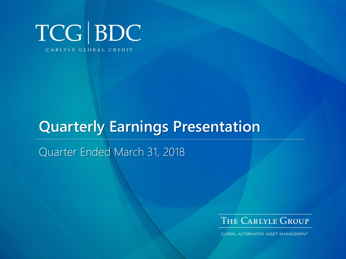

# **Quarterly Earnings Presentation**

Quarter Ended March 31, 2018



**GLOBAL ALTERNATIVE ASSET MANAGEMENT**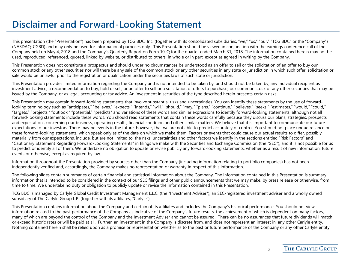#### **Disclaimer and Forward-Looking Statement**

This presentation (the "Presentation") has been prepared by TCG BDC, Inc. (together with its consolidated subsidiaries, "we," "us," "our," "TCG BDC" or the "Company") (NASDAQ: CGBD) and may only be used for informational purposes only. This Presentation should be viewed in conjunction with the earnings conference call of the Company held on May 4, 2018 and the Company's Quarterly Report on Form 10-Q for the quarter ended March 31, 2018. The information contained herein may not be used, reproduced, referenced, quoted, linked by website, or distributed to others, in whole or in part, except as agreed in writing by the Company.

This Presentation does not constitute a prospectus and should under no circumstances be understood as an offer to sell or the solicitation of an offer to buy our common stock or any other securities nor will there be any sale of the common stock or any other securities in any state or jurisdiction in which such offer, solicitation or sale would be unlawful prior to the registration or qualification under the securities laws of such state or jurisdiction.

This Presentation provides limited information regarding the Company and is not intended to be taken by, and should not be taken by, any individual recipient as investment advice, a recommendation to buy, hold or sell, or an offer to sell or a solicitation of offers to purchase, our common stock or any other securities that may be issued by the Company, or as legal, accounting or tax advice. An investment in securities of the type described herein presents certain risks.

This Presentation may contain forward-looking statements that involve substantial risks and uncertainties. You can identify these statements by the use of forwardlooking terminology such as "anticipates," "believes," "expects," "intends," "will," "should," "may," "plans," "continue," "believes," "seeks," "estimates," "would," "could," "targets," "projects," "outlook," "potential," "predicts" and variations of these words and similar expressions to identify forward-looking statements, although not all forward-looking statements include these words. You should read statements that contain these words carefully because they discuss our plans, strategies, prospects and expectations concerning our business, operating results, financial condition and other similar matters. We believe that it is important to communicate our future expectations to our investors. There may be events in the future, however, that we are not able to predict accurately or control. You should not place undue reliance on these forward-looking statements, which speak only as of the date on which we make them. Factors or events that could cause our actual results to differ, possibly materially from our expectations, include, but are not limited to, the risks, uncertainties and other factors we identify in the sections entitled "Risk Factors" and "Cautionary Statement Regarding Forward-Looking Statements" in filings we make with the Securities and Exchange Commission (the "SEC"), and it is not possible for us to predict or identify all of them. We undertake no obligation to update or revise publicly any forward-looking statements, whether as a result of new information, future events or otherwise, except as required by law.

Information throughout the Presentation provided by sources other than the Company (including information relating to portfolio companies) has not been independently verified and, accordingly, the Company makes no representation or warranty in respect of this information.

The following slides contain summaries of certain financial and statistical information about the Company. The information contained in this Presentation is summary information that is intended to be considered in the context of our SEC filings and other public announcements that we may make, by press release or otherwise, from time to time. We undertake no duty or obligation to publicly update or revise the information contained in this Presentation.

TCG BDC is managed by Carlyle Global Credit Investment Management L.L.C. (the "Investment Adviser"), an SEC-registered investment adviser and a wholly owned subsidiary of The Carlyle Group L.P. (together with its affiliates, "Carlyle").

This Presentation contains information about the Company and certain of its affiliates and includes the Company's historical performance. You should not view information related to the past performance of the Company as indicative of the Company's future results, the achievement of which is dependent on many factors, many of which are beyond the control of the Company and the Investment Adviser and cannot be assured. There can be no assurances that future dividends will match or exceed historic rates or will be paid at all. Further, an investment in the Company is discrete from, and does not represent an interest in, any other Carlyle entity. Nothing contained herein shall be relied upon as a promise or representation whether as to the past or future performance of the Company or any other Carlyle entity.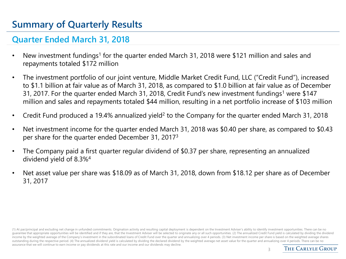### **Summary of Quarterly Results**

#### **Quarter Ended March 31, 2018**

- New investment fundings<sup>1</sup> for the quarter ended March 31, 2018 were \$121 million and sales and repayments totaled \$172 million
- The investment portfolio of our joint venture, Middle Market Credit Fund, LLC ("Credit Fund"), increased to \$1.1 billion at fair value as of March 31, 2018, as compared to \$1.0 billion at fair value as of December 31, 2017. For the quarter ended March 31, 2018, Credit Fund's new investment fundings<sup>1</sup> were \$147 million and sales and repayments totaled \$44 million, resulting in a net portfolio increase of \$103 million
- Credit Fund produced a 19.4% annualized yield<sup>2</sup> to the Company for the quarter ended March 31, 2018
- Net investment income for the quarter ended March 31, 2018 was \$0.40 per share, as compared to \$0.43 per share for the quarter ended December 31, 2017<sup>3</sup>
- The Company paid a first quarter regular dividend of \$0.37 per share, representing an annualized dividend yield of 8.3%<sup>4</sup>
- Net asset value per share was \$18.09 as of March 31, 2018, down from \$18.12 per share as of December 31, 2017

(1) At par/principal and excluding net change in unfunded commitments. Origination activity and resulting capital deployment is dependent on the Investment Adviser's ability to identify investment opportunities. There can quarantee that appropriate opportunities will be identified and if they are, that the Investment Adviser will be selected to originate any or all such opportunities. (2) The annualized Credit Fund yield is calculated by di income by the weighted average of the Company's investment in the subordinated loans of Credit Fund over the quarter and annualizing over 4 periods. (3) Net investment income per share is based on the weighted average shar outstanding during the respective period. (4) The annualized dividend yield is calculated by dividing the declared dividend by the weighted average net asset value for the quarter and annualizing over 4 periods. There can assurance that we will continue to earn income or pay dividends at this rate and our income and our dividends may decline.

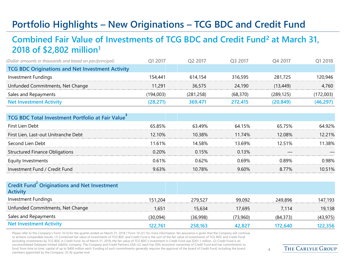## **Portfolio Highlights – New Originations – TCG BDC and Credit Fund**

#### **Combined Fair Value of Investments of TCG BDC and Credit Fund<sup>2</sup> at March 31, 2018 of \$2,802 million<sup>1</sup>**

| (Dollar amounts in thousands and based on par/principal) | O1 2017   | O <sub>2</sub> 2017 | O <sub>3</sub> 2017 | O <sub>4</sub> 2017 | Q1 2018   |
|----------------------------------------------------------|-----------|---------------------|---------------------|---------------------|-----------|
| <b>TCG BDC Originations and Net Investment Activity</b>  |           |                     |                     |                     |           |
| Investment Fundings                                      | 154.441   | 614.154             | 316,595             | 281.725             | 120.946   |
| Unfunded Commitments, Net Change                         | 11.291    | 36,575              | 24.190              | (13, 449)           | 4,760     |
| Sales and Repayments                                     | (194.003) | (281.258)           | (68, 370)           | (289, 125)          | (172,003) |
| <b>Net Investment Activity</b>                           | (28,271)  | 369.471             | 272.415             | (20,849)            | (46, 297) |

| TCG BDC Total Investment Portfolio at Fair Value |           |        |               |        |        |
|--------------------------------------------------|-----------|--------|---------------|--------|--------|
| First Lien Debt                                  | 65.85%    | 63.49% | 64.15%        | 65.75% | 64 92% |
| First Lien, Last-out Unitranche Debt             | $12.10\%$ | 10 38% | 11.74%        | 12.08% | 221%   |
| Second Lien Debt                                 | 11.61%    | 14 58% | 13 69%        | 12.51% | 138%   |
| <b>Structured Finance Obligations</b>            | $0.20\%$  | 0.15%  | 0.13%         |        |        |
| Equity Investments                               | 0.61%     | 0.62%  | <u>በ 69% </u> | በ ጸዓ%  | በ ዓጸ%  |
| Investment Fund / Credit Fund                    | 963%      | 10 78% | 9.60%         | 8.77%  | 10 51% |
|                                                  |           |        |               |        |        |

| Credit Fund Originations and Net Investment<br><b>Activity</b> |          |          |          |           |           |
|----------------------------------------------------------------|----------|----------|----------|-----------|-----------|
| Investment Fundings                                            | 151.204  | 279.527  | 99.092   | 249.896   | 147,193   |
| Unfunded Commitments, Net Change                               | 1.651    | 15.634   | 17.695   | 7.114     | 19,138    |
| Sales and Repayments                                           | (30,094) | (36,998) | (73.960) | (84, 373) | (43, 975) |
| <b>Net Investment Activity</b>                                 | 122,761  | 258,163  | 42,827   | 172.640   | 122,356   |

Please refer to the Company's Form 10-Q for the quarter ended on March 31, 2018 ("Form 10-Q") for more information. No assurance is given that the Company will continue to achieve comparable results. (1) Combined fair value of investments of TCG BDC and Credit Fund is the sum of the fair value of investments of TCG BDC and Credit Fund excluding investments by TCG BDC in Credit Fund. As of March 31, 2018, the fair value of TCG BDC's investment in Credit Fund was \$201.1 million. (2) Credit Fund is an unconsolidated Delaware limited liability company. The Company and Credit Partners USA LLC each has 50% economic ownership of Credit Fund and has commitments to fund, from time to time, capital of up to \$400 million each. Funding of such commitments generally requires the approval of the board of Credit Fund, including the board members appointed by the Company. (3) At quarter end.

**THE CARLYLE GROUP** 

 $\Delta$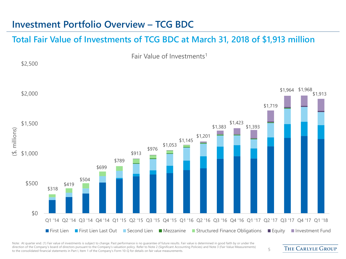#### **Investment Portfolio Overview – TCG BDC**

\$2,500

#### **Total Fair Value of Investments of TCG BDC at March 31, 2018 of \$1,913 million**

Fair Value of Investments<sup>1</sup>

\$318 \$419 \$504 \$699 \$789 \$913 \$976 \$1,053 \$1,145 \$1,201 \$1,383 \$1,423 \$1,393 \$1,719 \$1,964 \$1,968 \$1,913 \$0 \$500 \$1,000 \$1,500 \$2,000 Q1 '14 Q2 '14 Q3 '14 Q4 '14 Q1 '15 Q2 '15 Q3 '15 Q4 '15 Q1 '16 Q2 '16 Q3 '16 Q4 '16 Q1 '17 Q2 '17 Q3 '17 Q4 '17 Q1 '18 (\$, millions) **■ First Lien ■ First Lien Last Out ■ Second Lien ■ Mezzanine ■ Structured Finance Obligations ■ Equity ■ Investment Fund** 

Note: At quarter end. (1) Fair value of investments is subject to change. Past performance is no quarantee of future results. Fair value is determined in good faith by or under the direction of the Company's board of directors pursuant to the Company's valuation policy. Refer to Note 2 (Significant Accounting Policies) and Note 3 (Fair Value Measurements) affection of the company's board of directors pursuant to the Company's Faluation policy. Refer to Note 2 (significant Accounting Policies) and Note 5 (Fair Value Measurements) 5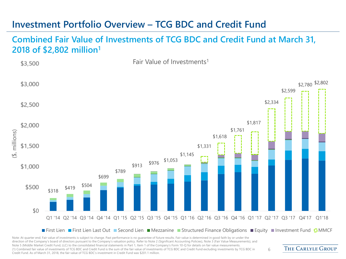#### **Investment Portfolio Overview – TCG BDC and Credit Fund**

**Combined Fair Value of Investments of TCG BDC and Credit Fund at March 31, 2018 of \$2,802 million1**



Note: At quarter end. Fair value of investments is subject to change. Past performance is no guarantee of future results. Fair value is determined in good faith by or under the direction of the Company's board of directors pursuant to the Company's valuation policy. Refer to Note 2 (Significant Accounting Policies), Note 3 (Fair Value Measurements), and Note 5 (Middle Market Credit Fund, LLC) to the consolidated financial statements in Part 1, Item 1 of the Company's Form 10-Q for details on fair value measurements. (1) Combined fair value of investments of TCG BDC and Credit Fund is the sum of the fair value of investments of TCG BDC and Credit Fund excluding investments by TCG BDC in Credit Fund. As of March 31, 2018, the fair value of TCG BDC's investment in Credit Fund was \$201.1 million.

**THE CARLYLE GROUP**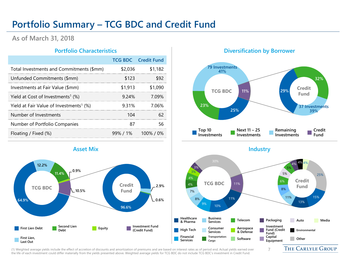#### **Portfolio Summary – TCG BDC and Credit Fund**

#### **As of March 31, 2018**

|                                                     |         | <b>TCG BDC</b> Credit Fund |
|-----------------------------------------------------|---------|----------------------------|
| Total Investments and Commitments (\$mm)            | \$2.036 | \$1.182                    |
| Unfunded Commitments (\$mm)                         | \$123   |                            |
| Investments at Fair Value (\$mm)                    | \$1,913 |                            |
| Yield at Cost of Investments <sup>1</sup> $(\%)$    | 9.24%   | 7 09%                      |
| Yield at Fair Value of Investments <sup>1</sup> (%) | 931%    |                            |
| Number of Investments                               |         |                            |
| Number of Portfolio Companies                       |         |                            |
| Floating / Fixed (%)                                |         | $99\%$ / 1% 100% / 0%      |



#### **Portfolio Characteristics Diversification by Borrower**



(1) Weighted average yields include the effect of accretion of discounts and amortization of premiums and are based on interest rates as of period end. Actual yields earned over the life of each investment could differ materially from the yields presented above. Weighted average yields for TCG BDC do not include TCG BDC's investment in Credit Fund.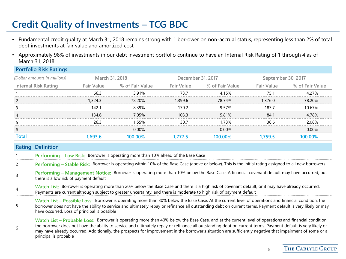## **Credit Quality of Investments – TCG BDC**

- Fundamental credit quality at March 31, 2018 remains strong with 1 borrower on non-accrual status, representing less than 2% of total debt investments at fair value and amortized cost
- Approximately 98% of investments in our debt investment portfolio continue to have an Internal Risk Rating of 1 through 4 as of March 31, 2018

| <b>Portfolio Risk Ratings</b> |                |                 |                   |                 |                    |                 |
|-------------------------------|----------------|-----------------|-------------------|-----------------|--------------------|-----------------|
| (Dollar amounts in millions)  | March 31, 2018 |                 | December 31, 2017 |                 | September 30, 2017 |                 |
| <b>Internal Risk Rating</b>   | Fair Value     | % of Fair Value | Fair Value        | % of Fair Value | <b>Fair Value</b>  | % of Fair Value |
|                               | 66 3           | 3.91%           | 73 7              | 4.15%           | 75 1               | 4 27%           |
|                               | 1.324.3        | 78.20%          | 1.399.6           | 78.74%          | 1.376.0            | 78.20%          |
|                               | 142 1          | 8.39%           | 170.2             | 9.57%           | 187 7              | 10 67%          |
| 4                             |                | 7.95%           | 103.3             | 5.81%           | 84 <sup>1</sup>    | 4 7 8%          |
|                               | 26.3           | 55%             | 30.7              | 1.73%           | 36 6               | 2.08%           |
| 6                             |                | 0.00%           |                   | 0.00%           |                    | 0.00%           |
| Total                         | 1.693.6        | 100 00%         | .777.5            | IOO 00%         | .759.5             | 00 00%          |
|                               |                |                 |                   |                 |                    |                 |

- 1 **Performing – Low Risk:** Borrower is operating more than 10% ahead of the Base Case
- 2 **Performing – Stable Risk:** Borrower is operating within 10% of the Base Case (above or below). This is the initial rating assigned to all new borrowers
- 3 **Performing – Management Notice:** Borrower is operating more than 10% below the Base Case. A financial covenant default may have occurred, but there is a low risk of payment default
- 4 **Watch List:** Borrower is operating more than 20% below the Base Case and there is a high risk of covenant default, or it may have already occurred. Payments are current although subject to greater uncertainty, and there is moderate to high risk of payment default
- 5 **Watch List – Possible Loss:** Borrower is operating more than 30% below the Base Case. At the current level of operations and financial condition, the borrower does not have the ability to service and ultimately repay or refinance all outstanding debt on current terms. Payment default is very likely or may have occurred. Loss of principal is possible

6 **Watch List – Probable Loss:** Borrower is operating more than 40% below the Base Case, and at the current level of operations and financial condition, the borrower does not have the ability to service and ultimately repay or refinance all outstanding debt on current terms. Payment default is very likely or may have already occurred. Additionally, the prospects for improvement in the borrower's situation are sufficiently negative that impairment of some or all principal is probable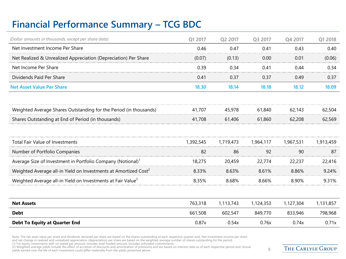### **Financial Performance Summary – TCG BDC**

| Q1 2017   | Q2 2017   | Q3 2017   | Q4 2017   | Q1 2018   |
|-----------|-----------|-----------|-----------|-----------|
| 0.46      | 0.47      | 0.41      | 0.43      | 0.40      |
| (0.07)    | (0.13)    | 0.00      | 0.01      | (0.06)    |
| 0.39      | 0.34      | 0.41      | 0.44      | 0.34      |
| 0.41      | 0.37      | 0.37      | 0.49      | 0.37      |
| 18.30     | 18.14     | 18.18     | 18.12     | 18.09     |
|           |           |           |           |           |
| 41,707    | 45,978    | 61,840    | 62,143    | 62,504    |
| 41,708    | 61,406    | 61,860    | 62,208    | 62,569    |
|           |           |           |           |           |
| 1,392,545 | 1,719,473 | 1,964,117 | 1,967,531 | 1,913,459 |
| 82        | 86        | 92        | 90        | 87        |
| 18,275    | 20,459    | 22,774    | 22,237    | 22,416    |
| 8.33%     | 8.63%     | 8.61%     | 8.86%     | 9.24%     |
| 8.35%     | 8.68%     | 8.66%     | 8.90%     | 9.31%     |
|           |           |           |           |           |
| 763,318   | 1,113,743 | 1,124,353 | 1,127,304 | 1,131,857 |
| 661,508   | 602,547   | 849,770   | 833,946   | 798,968   |
|           |           |           |           |           |
|           |           |           |           |           |

Note: The net asset value per share and dividends declared per share are based on the shares outstanding at each respective quarter-end. Net investment income per share<br>and net change in realized and unrealized appreciatio

(2) Weighted average yields include the effect of accretion of discounts and amortization of premiums and are based on interest rates as of each respective period end. Actual and a Actual priod end. Actual and the vields e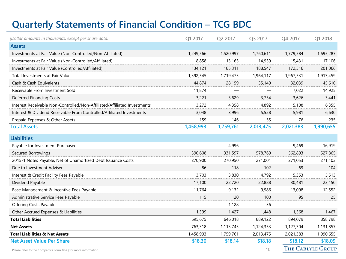### **Quarterly Statements of Financial Condition – TCG BDC**

| (Dollar amounts in thousands, except per share data)                     | Q1 2017   | Q2 2017   | Q3 2017   | Q4 2017   | Q1 2018                  |
|--------------------------------------------------------------------------|-----------|-----------|-----------|-----------|--------------------------|
| <b>Assets</b>                                                            |           |           |           |           |                          |
| Investments at Fair Value (Non-Controlled/Non-Affiliated)                | 1,249,566 | 1,520,997 | 1,760,611 | 1,779,584 | 1,695,287                |
| Investments at Fair Value (Non-Controlled/Affiliated)                    | 8,858     | 13,165    | 14,959    | 15,431    | 17,106                   |
| Investments at Fair Value (Controlled/Affiliated)                        | 134,121   | 185,311   | 188,547   | 172,516   | 201,066                  |
| Total Investments at Fair Value                                          | 1,392,545 | 1,719,473 | 1,964,117 | 1,967,531 | 1,913,459                |
| Cash & Cash Equivalents                                                  | 44,874    | 28,159    | 35,149    | 32,039    | 45,610                   |
| Receivable From Investment Sold                                          | 11,874    |           |           | 7,022     | 14,925                   |
| Deferred Financing Costs                                                 | 3,221     | 3,629     | 3,734     | 3,626     | 3,441                    |
| Interest Receivable Non-Controlled/Non-Affiliated/Affiliated Investments | 3,272     | 4,358     | 4,892     | 5,108     | 6,355                    |
| Interest & Dividend Receivable From Controlled/Affiliated Investments    | 3,048     | 3,996     | 5,528     | 5,981     | 6,630                    |
| Prepaid Expenses & Other Assets                                          | 159       | 146       | 55        | 76        | 235                      |
| <b>Total Assets</b>                                                      | 1,458,993 | 1,759,761 | 2,013,475 | 2,021,383 | 1,990,655                |
| <b>Liabilities</b>                                                       |           |           |           |           |                          |
| Payable for Investment Purchased                                         |           | 4,996     |           | 9,469     | 16,919                   |
| Secured Borrowings                                                       | 390,608   | 331,597   | 578,769   | 562,893   | 527,865                  |
| 2015-1 Notes Payable, Net of Unamortized Debt Issuance Costs             | 270,900   | 270,950   | 271,001   | 271,053   | 271,103                  |
| Due to Investment Adviser                                                | 86        | 118       | 102       | 69        | 104                      |
| Interest & Credit Facility Fees Payable                                  | 3,703     | 3,830     | 4,792     | 5,353     | 5,513                    |
| Dividend Payable                                                         | 17,100    | 22,720    | 22,888    | 30,481    | 23,150                   |
| Base Management & Incentive Fees Payable                                 | 11,764    | 9,132     | 9,986     | 13,098    | 12,552                   |
| Administrative Service Fees Payable                                      | 115       | 120       | 100       | 95        | 125                      |
| Offering Costs Payable                                                   |           | 1,128     | 36        |           |                          |
| Other Accrued Expenses & Liabilities                                     | 1,399     | 1,427     | 1,448     | 1,568     | 1,467                    |
| <b>Total Liabilities</b>                                                 | 695,675   | 646,018   | 889,122   | 894,079   | 858,798                  |
| <b>Net Assets</b>                                                        | 763,318   | 1,113,743 | 1,124,353 | 1,127,304 | 1,131,857                |
| <b>Total Liabilities &amp; Net Assets</b>                                | 1,458,993 | 1,759,761 | 2,013,475 | 2,021,383 | 1,990,655                |
| <b>Net Asset Value Per Share</b>                                         | \$18.30   | \$18.14   | \$18.18   | \$18.12   | \$18.09                  |
| Please refer to the Company's Form 10-Q for more information.            |           |           | 10        |           | <b>THE CARLYLE GROUP</b> |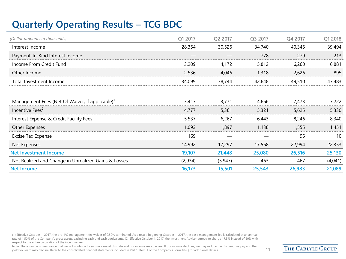### **Quarterly Operating Results – TCG BDC**

| (Dollar amounts in thousands)                               | Q1 2017 | Q2 2017  | Q3 2017 | Q4 2017 | Q1 2018 |
|-------------------------------------------------------------|---------|----------|---------|---------|---------|
| Interest Income                                             | 28,354  | 30,526   | 34,740  | 40,345  | 39,494  |
| Payment-In-Kind Interest Income                             |         |          | 778     | 279     | 213     |
| Income From Credit Fund                                     | 3,209   | 4,172    | 5,812   | 6,260   | 6,881   |
| Other Income                                                | 2,536   | 4,046    | 1,318   | 2,626   | 895     |
| Total Investment Income                                     | 34,099  | 38,744   | 42,648  | 49,510  | 47,483  |
|                                                             |         |          |         |         |         |
| Management Fees (Net Of Waiver, if applicable) <sup>1</sup> | 3,417   | 3,771    | 4,666   | 7,473   | 7,222   |
| Incentive Fees <sup>2</sup>                                 | 4,777   | 5,361    | 5,321   | 5,625   | 5,330   |
| Interest Expense & Credit Facility Fees                     | 5,537   | 6,267    | 6,443   | 8,246   | 8,340   |
| Other Expenses                                              | 1,093   | 1,897    | 1,138   | 1,555   | 1,451   |
| <b>Excise Tax Expense</b>                                   | 169     |          |         | 95      | 10      |
| Net Expenses                                                | 14,992  | 17,297   | 17,568  | 22,994  | 22,353  |
| <b>Net Investment Income</b>                                | 19,107  | 21,448   | 25,080  | 26,516  | 25,130  |
| Net Realized and Change in Unrealized Gains & Losses        | (2,934) | (5, 947) | 463     | 467     | (4,041) |
| <b>Net Income</b>                                           | 16,173  | 15,501   | 25,543  | 26,983  | 21,089  |

(1) Effective October 1, 2017, the pre-IPO management fee waiver of 0.50% terminated. As a result, beginning October 1, 2017, the base management fee is calculated at an annual rate of 1.50% of the Company's gross assets, excluding cash and cash equivalents. (2) Effective October 1, 2017, the Investment Adviser agreed to charge 17.5% instead of 20% with respect to the entire calculation of the incentive fee.

Note: There can be no assurance that we will continue to earn income at this rate and our income may decline. If our income declines, we may reduce the dividend we pay and the yield you earn may decline. Refer to the consolidated financial statements included in Part 1, Item 1 of the Company's Form 10-Q for additional details. 11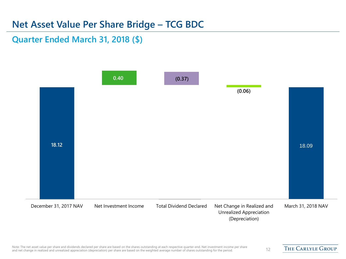#### **Net Asset Value Per Share Bridge – TCG BDC**

**Quarter Ended March 31, 2018 (\$)**

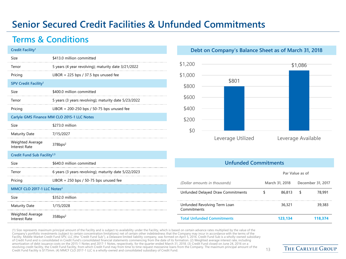### **Senior Secured Credit Facilities & Unfunded Commitments**

#### **Terms & Conditions**

| Credit Facility <sup>1</sup>             |                                                      |
|------------------------------------------|------------------------------------------------------|
| Size                                     | \$413.0 million committed                            |
| Tenor                                    | 5 years (4 year revolving); maturity date 3/21/2022  |
| Pricing                                  | LIBOR + 225 bps / 37.5 bps unused fee                |
| SPV Credit Facility <sup>1</sup>         |                                                      |
| Size                                     | \$400.0 million committed                            |
| Tenor                                    | 5 years (3 years revolving); maturity date 5/23/2022 |
| Pricing                                  | LIBOR + 200-250 bps / 50-75 bps unused fee           |
|                                          | Carlyle GMS Finance MM CLO 2015-1 LLC Notes          |
| Size                                     | \$273.0 million                                      |
| <b>Maturity Date</b>                     | 7/15/2027                                            |
| Weighted Average<br><b>Interest Rate</b> | 378bps <sup>2</sup>                                  |
| Credit Fund Sub Facility <sup>1,3</sup>  |                                                      |
| Size                                     | \$640.0 million committed                            |
| Tenor                                    | 6 years (3 years revolving); maturity date 5/22/2023 |
| Pricing                                  | LIBOR $+$ 250 bps / 50-75 bps unused fee             |
| MMCF CLO 2017-1 LLC Notes <sup>4</sup>   |                                                      |
| Size                                     | \$352.0 million                                      |
| <b>Maturity Date</b>                     | 1/15/2028                                            |
|                                          |                                                      |

Weighted Average Interest Rate 358bps<sup>2</sup>

#### **Debt on Company's Balance Sheet as of March 31, 2018**



#### **Unfunded Commitments**

|                                             | Par Value as of |                |   |                   |
|---------------------------------------------|-----------------|----------------|---|-------------------|
| (Dollar amounts in thousands)               |                 | March 31, 2018 |   | December 31, 2017 |
| Unfunded Delayed Draw Commitments           | S               | 86,813         | S | 78.991            |
| Unfunded Revolving Term Loan<br>Commitments |                 | 36,321         |   | 39,383            |
| <b>Total Unfunded Commitments</b>           |                 | 123.134        |   | 118,374           |

(1) Size represents maximum principal amount of the Facility and is subject to availability under the Facility, which is based on certain advance rates multiplied by the value of the Company's portfolio investments (subject to certain concentration limitations) net of certain other indebtedness that the Company may incur in accordance with the terms of the Facility. Middle Market Credit Fund SPV, LLC (the "Credit Fund Sub"), a Delaware limited liability company, was formed on April 5, 2016. Credit Fund Sub is a wholly-owned subsidiary of Credit Fund and is consolidated in Credit Fund's consolidated financial statements commencing from the date of its formation. (2) Weighted average interest rate, including amortization of debt issuance costs on the 2015-1 Notes and 2017-1 Notes, respectively, for the quarter ended March 31, 2018. (3) Credit Fund closed on June 24, 2016 on a revolving credit facility, the Credit Fund Facility, from which Credit Fund may from time to time request mezzanine loans from the Company. The maximum principal amount of the Credit Fund Facility is \$175mm. (4) MMCF CLO 2017-1 LLC is a wholly-owned and consolidated subsidiary of Credit Fund. 13 and the Company, the meaning of the company of the constant principal and consolidated subsidiary of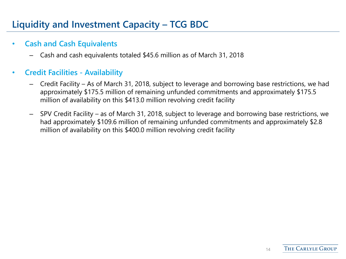### **Liquidity and Investment Capacity – TCG BDC**

#### • **Cash and Cash Equivalents**

– Cash and cash equivalents totaled \$45.6 million as of March 31, 2018

#### • **Credit Facilities - Availability**

- Credit Facility As of March 31, 2018, subject to leverage and borrowing base restrictions, we had approximately \$175.5 million of remaining unfunded commitments and approximately \$175.5 million of availability on this \$413.0 million revolving credit facility
- SPV Credit Facility as of March 31, 2018, subject to leverage and borrowing base restrictions, we had approximately \$109.6 million of remaining unfunded commitments and approximately \$2.8 million of availability on this \$400.0 million revolving credit facility